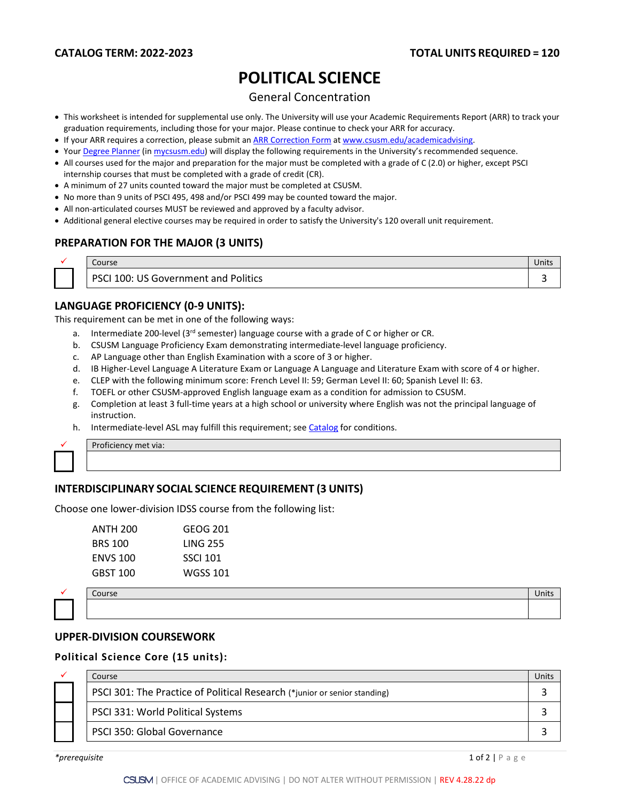# **POLITICAL SCIENCE**

## General Concentration

- This worksheet is intended for supplemental use only. The University will use your Academic Requirements Report (ARR) to track your graduation requirements, including those for your major. Please continue to check your ARR for accuracy.
- If your ARR requires a correction, please submit an [ARR Correction Form](http://www.csusm.edu/academicadvising/arrcorrection/index.html) a[t www.csusm.edu/academicadvising.](http://www.csusm.edu/academicadvising)
- You[r Degree Planner](https://www.csusm.edu/academicadvising/degreeplanner/index.html) (i[n mycsusm.edu\)](https://my.csusm.edu/) will display the following requirements in the University's recommended sequence.
- All courses used for the major and preparation for the major must be completed with a grade of C (2.0) or higher, except PSCI internship courses that must be completed with a grade of credit (CR).
- A minimum of 27 units counted toward the major must be completed at CSUSM.
- No more than 9 units of PSCI 495, 498 and/or PSCI 499 may be counted toward the major.
- All non-articulated courses MUST be reviewed and approved by a faculty advisor.
- Additional general elective courses may be required in order to satisfy the University's 120 overall unit requirement.

# **PREPARATION FOR THE MAJOR (3 UNITS)**

| Course                                                     | Units |
|------------------------------------------------------------|-------|
| Government and Politics<br><b>PSCI</b><br>100:<br>ТC<br>ັບ |       |

## **LANGUAGE PROFICIENCY (0-9 UNITS):**

This requirement can be met in one of the following ways:

- a. Intermediate 200-level (3<sup>rd</sup> semester) language course with a grade of C or higher or CR.
- b. CSUSM Language Proficiency Exam demonstrating intermediate-level language proficiency.
- c. AP Language other than English Examination with a score of 3 or higher.
- d. IB Higher-Level Language A Literature Exam or Language A Language and Literature Exam with score of 4 or higher.
- e. CLEP with the following minimum score: French Level II: 59; German Level II: 60; Spanish Level II: 63.
- f. TOEFL or other CSUSM-approved English language exam as a condition for admission to CSUSM.
- g. Completion at least 3 full-time years at a high school or university where English was not the principal language of instruction.
- h. Intermediate-level ASL may fulfill this requirement; see [Catalog](http://catalog.csusm.edu/) for conditions.



Proficiency met via:

# **INTERDISCIPLINARY SOCIAL SCIENCE REQUIREMENT (3 UNITS)**

Choose one lower-division IDSS course from the following list:

| GEOG 201        |
|-----------------|
| LING 255        |
| <b>SSCI 101</b> |
| WGSS 101        |
|                 |



#### **UPPER-DIVISION COURSEWORK**

#### **Political Science Core (15 units):**

|  | Course                                                                    | Jnits |
|--|---------------------------------------------------------------------------|-------|
|  | PSCI 301: The Practice of Political Research (*junior or senior standing) |       |
|  | PSCI 331: World Political Systems                                         |       |
|  | PSCI 350: Global Governance                                               |       |